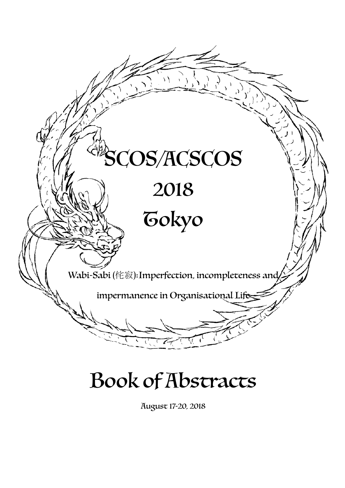

## Book of Abstracts

August 17-20, 2018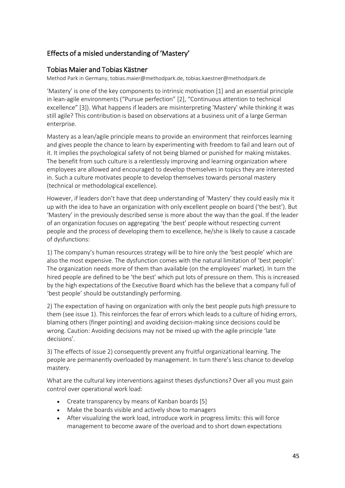## Effects of a misled understanding of 'Mastery'

## Tobias Maier and Tobias Kästner

Method Park in Germany, tobias.maier@methodpark.de, tobias.kaestner@methodpark.de

'Mastery' is one of the key components to intrinsic motivation [1] and an essential principle in lean-agile environments ("Pursue perfection"  $[2]$ , "Continuous attention to technical excellence" [3]). What happens if leaders are misinterpreting 'Mastery' while thinking it was still agile? This contribution is based on observations at a business unit of a large German enterprise. 

Mastery as a lean/agile principle means to provide an environment that reinforces learning and gives people the chance to learn by experimenting with freedom to fail and learn out of it. It implies the psychological safety of not being blamed or punished for making mistakes. The benefit from such culture is a relentlessly improving and learning organization where employees are allowed and encouraged to develop themselves in topics they are interested in. Such a culture motivates people to develop themselves towards personal mastery (technical or methodological excellence).

However, if leaders don't have that deep understanding of 'Mastery' they could easily mix it up with the idea to have an organization with only excellent people on board ('the best'). But 'Mastery' in the previously described sense is more about the way than the goal. If the leader of an organization focuses on aggregating 'the best' people without respecting current people and the process of developing them to excellence, he/she is likely to cause a cascade of dysfunctions:

1) The company's human resources strategy will be to hire only the 'best people' which are also the most expensive. The dysfunction comes with the natural limitation of 'best people': The organization needs more of them than available (on the employees' market). In turn the hired people are defined to be 'the best' which put lots of pressure on them. This is increased by the high expectations of the Executive Board which has the believe that a company full of 'best people' should be outstandingly performing.

2) The expectation of having on organization with only the best people puts high pressure to them (see issue 1). This reinforces the fear of errors which leads to a culture of hiding errors, blaming others (finger pointing) and avoiding decision-making since decisions could be wrong. Caution: Avoiding decisions may not be mixed up with the agile principle 'late decisions'.

3) The effects of issue 2) consequently prevent any fruitful organizational learning. The people are permanently overloaded by management. In turn there's less chance to develop mastery.

What are the cultural key interventions against theses dysfunctions? Over all you must gain control over operational work load:

- Create transparency by means of Kanban boards [5]
- Make the boards visible and actively show to managers
- After visualizing the work load, introduce work in progress limits: this will force management to become aware of the overload and to short down expectations